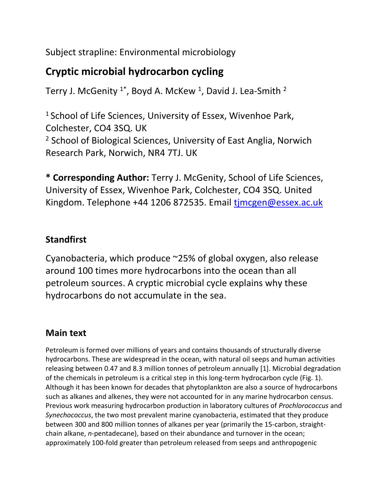Subject strapline: Environmental microbiology

# **Cryptic microbial hydrocarbon cycling**

Terry J. McGenity  $^{1^*}$ , Boyd A. McKew <sup>1</sup>, David J. Lea-Smith <sup>2</sup>

<sup>1</sup> School of Life Sciences, University of Essex, Wivenhoe Park, Colchester, CO4 3SQ. UK <sup>2</sup> School of Biological Sciences, University of East Anglia, Norwich Research Park, Norwich, NR4 7TJ. UK

**\* Corresponding Author:** Terry J. McGenity, School of Life Sciences, University of Essex, Wivenhoe Park, Colchester, CO4 3SQ. United Kingdom. Telephone +44 1206 872535. Email [tjmcgen@essex.ac.uk](mailto:tjmcgen@essex.ac.uk)

## **Standfirst**

Cyanobacteria, which produce ~25% of global oxygen, also release around 100 times more hydrocarbons into the ocean than all petroleum sources. A cryptic microbial cycle explains why these hydrocarbons do not accumulate in the sea.

### **Main text**

Petroleum is formed over millions of years and contains thousands of structurally diverse hydrocarbons. These are widespread in the ocean, with natural oil seeps and human activities releasing between 0.47 and 8.3 million tonnes of petroleum annually [1]. Microbial degradation of the chemicals in petroleum is a critical step in this long-term hydrocarbon cycle (Fig. 1). Although it has been known for decades that phytoplankton are also a source of hydrocarbons such as alkanes and alkenes, they were not accounted for in any marine hydrocarbon census. Previous work measuring hydrocarbon production in laboratory cultures of *Prochlorococcus* and *Synechococcus*, the two most prevalent marine cyanobacteria, estimated that they produce between 300 and 800 million tonnes of alkanes per year (primarily the 15-carbon, straightchain alkane, *n*-pentadecane), based on their abundance and turnover in the ocean; approximately 100-fold greater than petroleum released from seeps and anthropogenic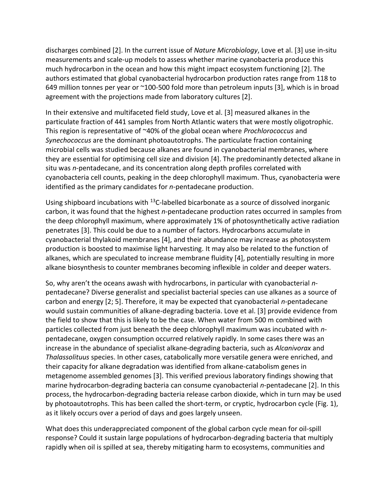discharges combined [2]. In the current issue of *Nature Microbiology*, Love et al. [3] use in-situ measurements and scale-up models to assess whether marine cyanobacteria produce this much hydrocarbon in the ocean and how this might impact ecosystem functioning [2]. The authors estimated that global cyanobacterial hydrocarbon production rates range from 118 to 649 million tonnes per year or ~100-500 fold more than petroleum inputs [3], which is in broad agreement with the projections made from laboratory cultures [2].

In their extensive and multifaceted field study, Love et al. [3] measured alkanes in the particulate fraction of 441 samples from North Atlantic waters that were mostly oligotrophic. This region is representative of ~40% of the global ocean where *Prochlorococcus* and *Synechococcus* are the dominant photoautotrophs. The particulate fraction containing microbial cells was studied because alkanes are found in cyanobacterial membranes, where they are essential for optimising cell size and division [4]. The predominantly detected alkane in situ was *n*-pentadecane, and its concentration along depth profiles correlated with cyanobacteria cell counts, peaking in the deep chlorophyll maximum. Thus, cyanobacteria were identified as the primary candidates for *n*-pentadecane production.

Using shipboard incubations with <sup>13</sup>C-labelled bicarbonate as a source of dissolved inorganic carbon, it was found that the highest *n*-pentadecane production rates occurred in samples from the deep chlorophyll maximum, where approximately 1% of photosynthetically active radiation penetrates [3]. This could be due to a number of factors. Hydrocarbons accumulate in cyanobacterial thylakoid membranes [4], and their abundance may increase as photosystem production is boosted to maximise light harvesting. It may also be related to the function of alkanes, which are speculated to increase membrane fluidity [4], potentially resulting in more alkane biosynthesis to counter membranes becoming inflexible in colder and deeper waters.

So, why aren't the oceans awash with hydrocarbons, in particular with cyanobacterial *n*pentadecane? Diverse generalist and specialist bacterial species can use alkanes as a source of carbon and energy [2; 5]. Therefore, it may be expected that cyanobacterial *n-*pentadecane would sustain communities of alkane-degrading bacteria. Love et al. [3] provide evidence from the field to show that this is likely to be the case. When water from 500 m combined with particles collected from just beneath the deep chlorophyll maximum was incubated with *n*pentadecane, oxygen consumption occurred relatively rapidly. In some cases there was an increase in the abundance of specialist alkane-degrading bacteria, such as *Alcanivorax* and *Thalassolituus* species. In other cases, catabolically more versatile genera were enriched, and their capacity for alkane degradation was identified from alkane-catabolism genes in metagenome assembled genomes [3]. This verified previous laboratory findings showing that marine hydrocarbon-degrading bacteria can consume cyanobacterial *n*-pentadecane [2]. In this process, the hydrocarbon-degrading bacteria release carbon dioxide, which in turn may be used by photoautotrophs. This has been called the short-term, or cryptic, hydrocarbon cycle (Fig. 1), as it likely occurs over a period of days and goes largely unseen.

What does this underappreciated component of the global carbon cycle mean for oil-spill response? Could it sustain large populations of hydrocarbon-degrading bacteria that multiply rapidly when oil is spilled at sea, thereby mitigating harm to ecosystems, communities and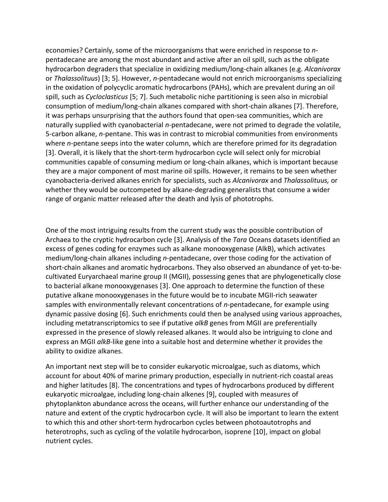economies? Certainly, some of the microorganisms that were enriched in response to *n*pentadecane are among the most abundant and active after an oil spill, such as the obligate hydrocarbon degraders that specialize in oxidizing medium/long-chain alkanes (e.g. *Alcanivorax*  or *Thalassolituus*) [3; 5]. However, *n-*pentadecane would not enrich microorganisms specializing in the oxidation of polycyclic aromatic hydrocarbons (PAHs), which are prevalent during an oil spill, such as *Cycloclasticus* [5; 7]. Such metabolic niche partitioning is seen also in microbial consumption of medium/long-chain alkanes compared with short-chain alkanes [7]. Therefore, it was perhaps unsurprising that the authors found that open-sea communities, which are naturally supplied with cyanobacterial *n*-pentadecane, were not primed to degrade the volatile, 5-carbon alkane, *n*-pentane. This was in contrast to microbial communities from environments where *n*-pentane seeps into the water column, which are therefore primed for its degradation [3]. Overall, it is likely that the short-term hydrocarbon cycle will select only for microbial communities capable of consuming medium or long-chain alkanes, which is important because they are a major component of most marine oil spills. However, it remains to be seen whether cyanobacteria-derived alkanes enrich for specialists, such as *Alcanivorax* and *Thalassolituus,* or whether they would be outcompeted by alkane-degrading generalists that consume a wider range of organic matter released after the death and lysis of phototrophs.

One of the most intriguing results from the current study was the possible contribution of Archaea to the cryptic hydrocarbon cycle [3]. Analysis of the *Tara* Oceans datasets identified an excess of genes coding for enzymes such as alkane monooxygenase (AlkB), which activates medium/long-chain alkanes including *n-*pentadecane, over those coding for the activation of short-chain alkanes and aromatic hydrocarbons. They also observed an abundance of yet-to-becultivated Euryarchaeal marine group II (MGII), possessing genes that are phylogenetically close to bacterial alkane monooxygenases [3]. One approach to determine the function of these putative alkane monooxygenases in the future would be to incubate MGII-rich seawater samples with environmentally relevant concentrations of *n-*pentadecane, for example using dynamic passive dosing [6]. Such enrichments could then be analysed using various approaches, including metatranscriptomics to see if putative *alkB* genes from MGII are preferentially expressed in the presence of slowly released alkanes. It would also be intriguing to clone and express an MGII *alkB*-like gene into a suitable host and determine whether it provides the ability to oxidize alkanes.

An important next step will be to consider eukaryotic microalgae, such as diatoms, which account for about 40% of marine primary production, especially in nutrient-rich coastal areas and higher latitudes [8]. The concentrations and types of hydrocarbons produced by different eukaryotic microalgae, including long-chain alkenes [9], coupled with measures of phytoplankton abundance across the oceans, will further enhance our understanding of the nature and extent of the cryptic hydrocarbon cycle. It will also be important to learn the extent to which this and other short-term hydrocarbon cycles between photoautotrophs and heterotrophs, such as cycling of the volatile hydrocarbon, isoprene [10], impact on global nutrient cycles.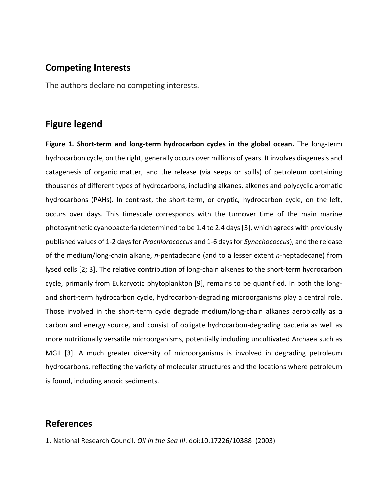#### **Competing Interests**

The authors declare no competing interests.

#### **Figure legend**

**Figure 1. Short-term and long-term hydrocarbon cycles in the global ocean.** The long-term hydrocarbon cycle, on the right, generally occurs over millions of years. It involves diagenesis and catagenesis of organic matter, and the release (via seeps or spills) of petroleum containing thousands of different types of hydrocarbons, including alkanes, alkenes and polycyclic aromatic hydrocarbons (PAHs). In contrast, the short-term, or cryptic, hydrocarbon cycle, on the left, occurs over days. This timescale corresponds with the turnover time of the main marine photosynthetic cyanobacteria (determined to be 1.4 to 2.4 days [3], which agrees with previously published values of 1-2 days for *Prochlorococcus* and 1-6 days for *Synechococcus*), and the release of the medium/long-chain alkane, *n-*pentadecane (and to a lesser extent *n-*heptadecane) from lysed cells [2; 3]. The relative contribution of long-chain alkenes to the short-term hydrocarbon cycle, primarily from Eukaryotic phytoplankton [9], remains to be quantified. In both the longand short-term hydrocarbon cycle, hydrocarbon-degrading microorganisms play a central role. Those involved in the short-term cycle degrade medium/long-chain alkanes aerobically as a carbon and energy source, and consist of obligate hydrocarbon-degrading bacteria as well as more nutritionally versatile microorganisms, potentially including uncultivated Archaea such as MGII [3]. A much greater diversity of microorganisms is involved in degrading petroleum hydrocarbons, reflecting the variety of molecular structures and the locations where petroleum is found, including anoxic sediments.

#### **References**

1. National Research Council. *Oil in the Sea III*. doi:10.17226/10388 (2003)